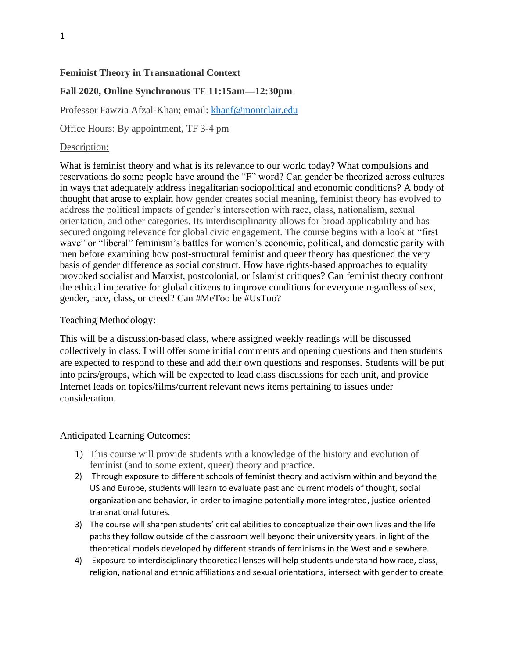### **Feminist Theory in Transnational Context**

# **Fall 2020, Online Synchronous TF 11:15am—12:30pm**

Professor Fawzia Afzal-Khan; email: [khanf@montclair.edu](mailto:khanf@montclair.edu)

Office Hours: By appointment, TF 3-4 pm

#### Description:

What is feminist theory and what is its relevance to our world today? What compulsions and reservations do some people have around the "F" word? Can gender be theorized across cultures in ways that adequately address inegalitarian sociopolitical and economic conditions? A body of thought that arose to explain how gender creates social meaning, feminist theory has evolved to address the political impacts of gender's intersection with race, class, nationalism, sexual orientation, and other categories. Its interdisciplinarity allows for broad applicability and has secured ongoing relevance for global civic engagement. The course begins with a look at "first wave" or "liberal" feminism's battles for women's economic, political, and domestic parity with men before examining how post-structural feminist and queer theory has questioned the very basis of gender difference as social construct. How have rights-based approaches to equality provoked socialist and Marxist, postcolonial, or Islamist critiques? Can feminist theory confront the ethical imperative for global citizens to improve conditions for everyone regardless of sex, gender, race, class, or creed? Can #MeToo be #UsToo?

#### Teaching Methodology:

This will be a discussion-based class, where assigned weekly readings will be discussed collectively in class. I will offer some initial comments and opening questions and then students are expected to respond to these and add their own questions and responses. Students will be put into pairs/groups, which will be expected to lead class discussions for each unit, and provide Internet leads on topics/films/current relevant news items pertaining to issues under consideration.

#### Anticipated Learning Outcomes:

- 1) This course will provide students with a knowledge of the history and evolution of feminist (and to some extent, queer) theory and practice.
- 2) Through exposure to different schools of feminist theory and activism within and beyond the US and Europe, students will learn to evaluate past and current models of thought, social organization and behavior, in order to imagine potentially more integrated, justice-oriented transnational futures.
- 3) The course will sharpen students' critical abilities to conceptualize their own lives and the life paths they follow outside of the classroom well beyond their university years, in light of the theoretical models developed by different strands of feminisms in the West and elsewhere.
- 4) Exposure to interdisciplinary theoretical lenses will help students understand how race, class, religion, national and ethnic affiliations and sexual orientations, intersect with gender to create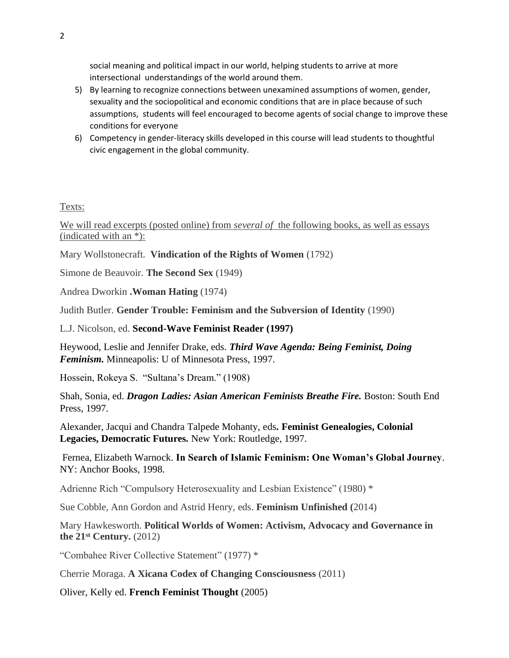social meaning and political impact in our world, helping students to arrive at more intersectional understandings of the world around them.

- 5) By learning to recognize connections between unexamined assumptions of women, gender, sexuality and the sociopolitical and economic conditions that are in place because of such assumptions, students will feel encouraged to become agents of social change to improve these conditions for everyone
- 6) Competency in gender-literacy skills developed in this course will lead students to thoughtful civic engagement in the global community.

Texts:

We will read excerpts (posted online) from *several of* the following books, as well as essays (indicated with an \*):

Mary Wollstonecraft. **Vindication of the Rights of Women** (1792)

Simone de Beauvoir. **The Second Sex** (1949)

Andrea Dworkin **.Woman Hating** (1974)

Judith Butler. **Gender Trouble: Feminism and the Subversion of Identity** (1990)

L.J. Nicolson, ed. **Second-Wave Feminist Reader (1997)**

Heywood, Leslie and Jennifer Drake, eds. *Third Wave Agenda: Being Feminist, Doing Feminism.* Minneapolis: U of Minnesota Press, 1997.

Hossein, Rokeya S. "Sultana's Dream." (1908)

Shah, Sonia, ed. *Dragon Ladies: Asian American Feminists Breathe Fire.* Boston: South End Press, 1997.

Alexander, Jacqui and Chandra Talpede Mohanty, eds*.* **Feminist Genealogies, Colonial Legacies, Democratic Futures***.* New York: Routledge, 1997.

Fernea, Elizabeth Warnock. **In Search of Islamic Feminism: One Woman's Global Journey**. NY: Anchor Books, 1998.

Adrienne Rich "Compulsory Heterosexuality and Lesbian Existence" (1980) \*

Sue Cobble, Ann Gordon and Astrid Henry, eds. **Feminism Unfinished (**2014)

Mary Hawkesworth. **Political Worlds of Women: Activism, Advocacy and Governance in the 21st Century.** (2012)

"Combahee River Collective Statement" (1977) \*

Cherrie Moraga. **A Xicana Codex of Changing Consciousness** (2011)

Oliver, Kelly ed. **French Feminist Thought** (2005)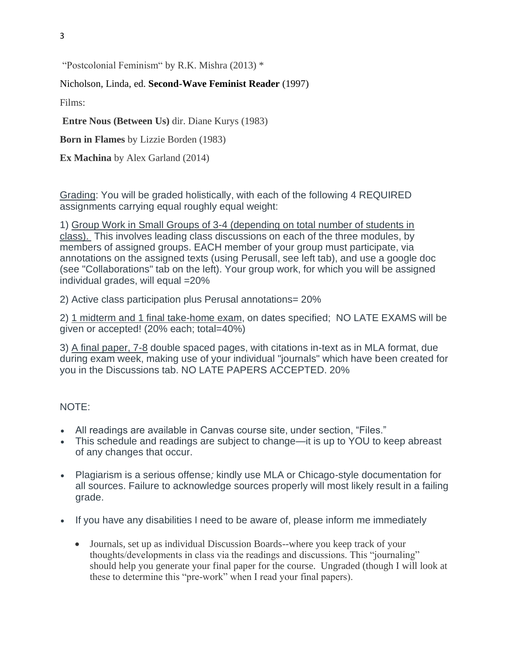3

"Postcolonial Feminism" by R.K. Mishra (2013) \*

### Nicholson, Linda, ed. **Second-Wave Feminist Reader** (1997)

Films:

**Entre Nous (Between Us)** dir. Diane Kurys (1983)

**Born in Flames** by Lizzie Borden (1983)

**Ex Machina** by Alex Garland (2014)

Grading: You will be graded holistically, with each of the following 4 REQUIRED assignments carrying equal roughly equal weight:

1) Group Work in Small Groups of 3-4 (depending on total number of students in class). This involves leading class discussions on each of the three modules, by members of assigned groups. EACH member of your group must participate, via annotations on the assigned texts (using Perusall, see left tab), and use a google doc (see "Collaborations" tab on the left). Your group work, for which you will be assigned individual grades, will equal =20%

2) Active class participation plus Perusal annotations= 20%

2) 1 midterm and 1 final take-home exam, on dates specified; NO LATE EXAMS will be given or accepted! (20% each; total=40%)

3) A final paper, 7-8 double spaced pages, with citations in-text as in MLA format, due during exam week, making use of your individual "journals" which have been created for you in the Discussions tab. NO LATE PAPERS ACCEPTED. 20%

### NOTE:

- All readings are available in Canvas course site, under section, "Files."
- This schedule and readings are subject to change—it is up to YOU to keep abreast of any changes that occur.
- Plagiarism is a serious offense*;* kindly use MLA or Chicago-style documentation for all sources. Failure to acknowledge sources properly will most likely result in a failing grade.
- If you have any disabilities I need to be aware of, please inform me immediately
	- Journals, set up as individual Discussion Boards--where you keep track of your thoughts/developments in class via the readings and discussions. This "journaling" should help you generate your final paper for the course. Ungraded (though I will look at these to determine this "pre-work" when I read your final papers).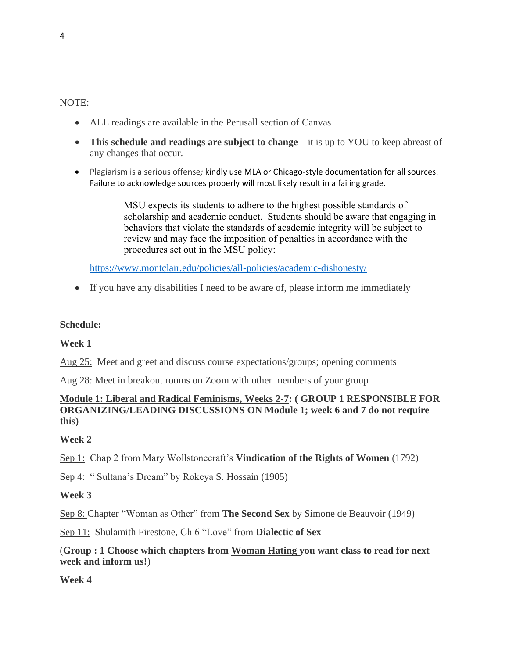#### NOTE:

- ALL readings are available in the Perusall section of Canvas
- **This schedule and readings are subject to change**—it is up to YOU to keep abreast of any changes that occur.
- Plagiarism is a serious offense*;* kindly use MLA or Chicago-style documentation for all sources. Failure to acknowledge sources properly will most likely result in a failing grade.

MSU expects its students to adhere to the highest possible standards of scholarship and academic conduct. Students should be aware that engaging in behaviors that violate the standards of academic integrity will be subject to review and may face the imposition of penalties in accordance with the procedures set out in the MSU policy:

<https://www.montclair.edu/policies/all-policies/academic-dishonesty/>

• If you have any disabilities I need to be aware of, please inform me immediately

### **Schedule:**

**Week 1**

Aug 25: Meet and greet and discuss course expectations/groups; opening comments

Aug 28: Meet in breakout rooms on Zoom with other members of your group

### **Module 1: Liberal and Radical Feminisms, Weeks 2-7: ( GROUP 1 RESPONSIBLE FOR ORGANIZING/LEADING DISCUSSIONS ON Module 1; week 6 and 7 do not require this)**

### **Week 2**

Sep 1: Chap 2 from Mary Wollstonecraft's **Vindication of the Rights of Women** (1792)

Sep 4: " Sultana's Dream" by Rokeya S. Hossain (1905)

### **Week 3**

Sep 8: Chapter "Woman as Other" from **The Second Sex** by Simone de Beauvoir (1949)

Sep 11: Shulamith Firestone, Ch 6 "Love" from **Dialectic of Sex**

## (**Group : 1 Choose which chapters from Woman Hating you want class to read for next week and inform us!**)

**Week 4**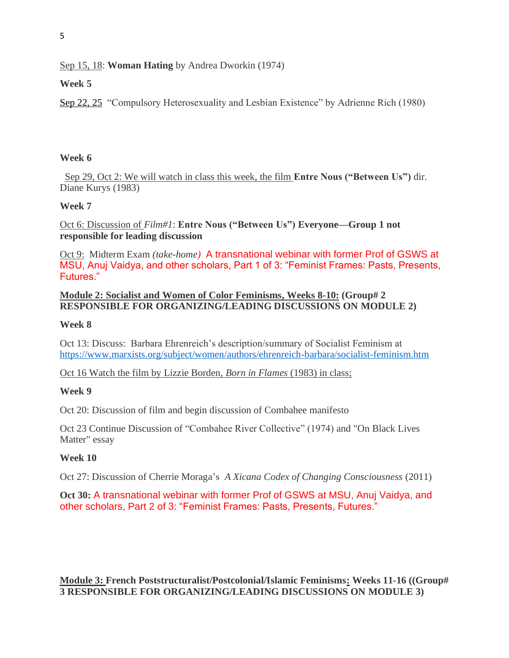# Sep 15, 18: **Woman Hating** by Andrea Dworkin (1974)

# **Week 5**

Sep 22, 25 "Compulsory Heterosexuality and Lesbian Existence" by Adrienne Rich (1980)

### **Week 6**

Sep 29, Oct 2: We will watch in class this week, the film **Entre Nous ("Between Us")** dir. Diane Kurys (1983)

## **Week 7**

Oct 6: Discussion of *Film#1*: **Entre Nous ("Between Us") Everyone—Group 1 not responsible for leading discussion**

Oct 9: Midterm Exam *(take-home)* A transnational webinar with former Prof of GSWS at MSU, Anuj Vaidya, and other scholars, Part 1 of 3: "Feminist Frames: Pasts, Presents, Futures."

## **Module 2: Socialist and Women of Color Feminisms, Weeks 8-10: (Group# 2 RESPONSIBLE FOR ORGANIZING/LEADING DISCUSSIONS ON MODULE 2)**

### **Week 8**

Oct 13: Discuss: Barbara Ehrenreich's description/summary of Socialist Feminism at <https://www.marxists.org/subject/women/authors/ehrenreich-barbara/socialist-feminism.htm>

Oct 16 Watch the film by Lizzie Borden, *Born in Flames* (1983) in class;

# **Week 9**

Oct 20: Discussion of film and begin discussion of Combahee manifesto

Oct 23 Continue Discussion of "Combahee River Collective" (1974) and "On Black Lives Matter" essay

# **Week 10**

Oct 27: Discussion of Cherrie Moraga's *A Xicana Codex of Changing Consciousness* (2011)

**Oct 30:** A transnational webinar with former Prof of GSWS at MSU, Anuj Vaidya, and other scholars, Part 2 of 3: "Feminist Frames: Pasts, Presents, Futures."

**Module 3: French Poststructuralist/Postcolonial/Islamic Feminisms: Weeks 11-16 ((Group# 3 RESPONSIBLE FOR ORGANIZING/LEADING DISCUSSIONS ON MODULE 3)**